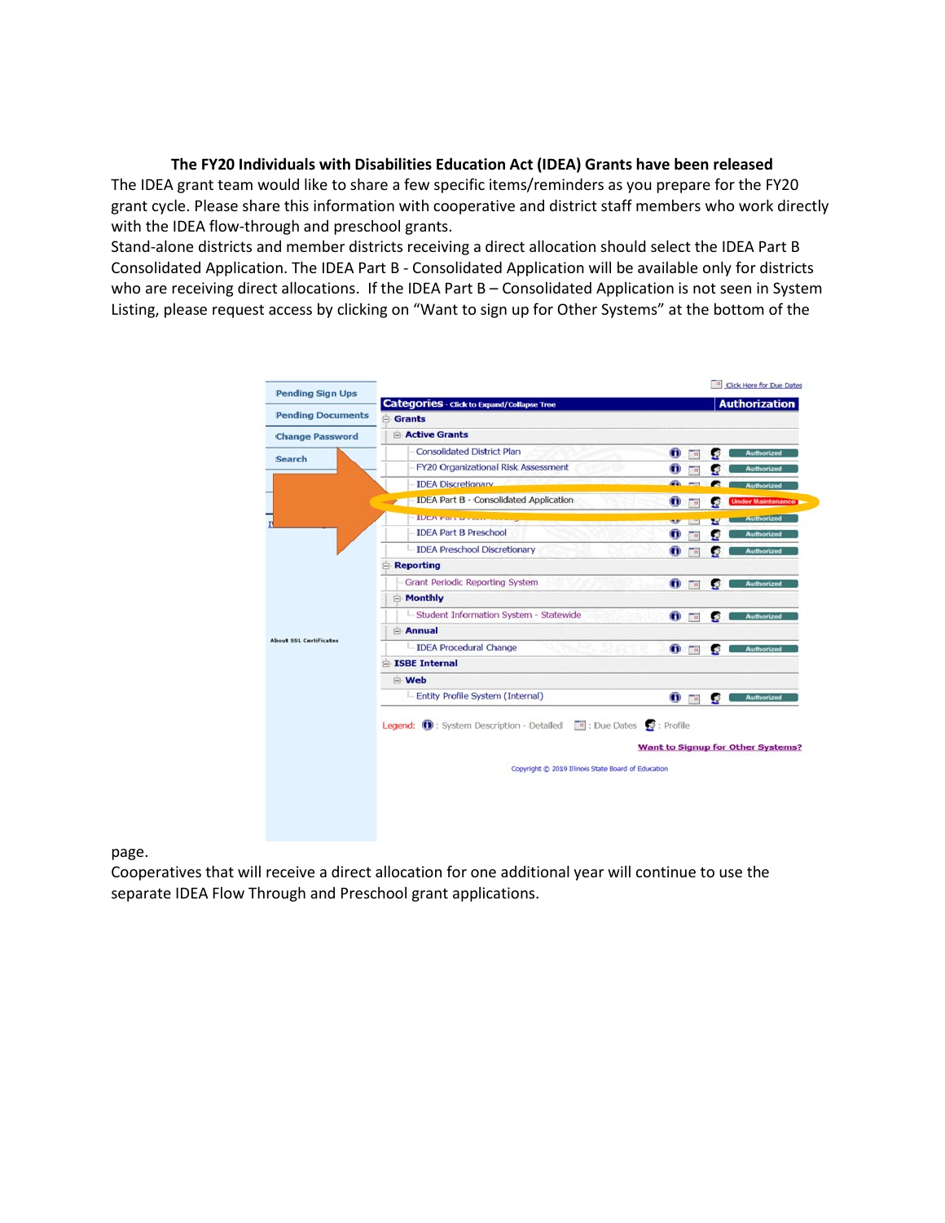## **The FY20 Individuals with Disabilities Education Act (IDEA) Grants have been released**

The IDEA grant team would like to share a few specific items/reminders as you prepare for the FY20 grant cycle. Please share this information with cooperative and district staff members who work directly with the IDEA flow-through and preschool grants.

Stand-alone districts and member districts receiving a direct allocation should select the IDEA Part B Consolidated Application. The IDEA Part B - Consolidated Application will be available only for districts who are receiving direct allocations. If the IDEA Part B - Consolidated Application is not seen in System Listing, please request access by clicking on "Want to sign up for Other Systems" at the bottom of the



page.

Cooperatives that will receive a direct allocation for one additional year will continue to use the separate IDEA Flow Through and Preschool grant applications.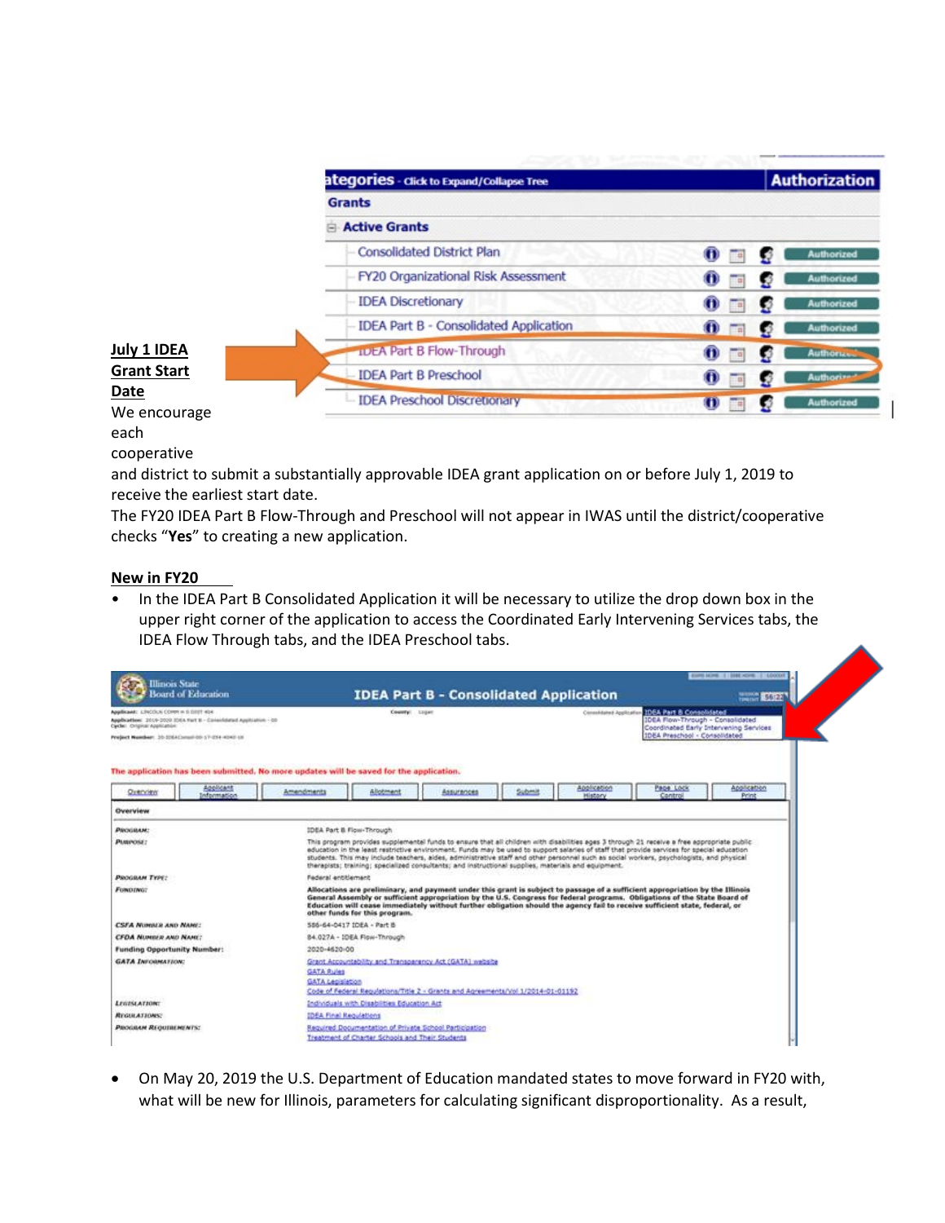|                      | ategories - Click to Expand/Collapse Tree     |                             | <b>Authorization</b> |  |  |  |  |  |
|----------------------|-----------------------------------------------|-----------------------------|----------------------|--|--|--|--|--|
|                      | <b>Grants</b>                                 |                             |                      |  |  |  |  |  |
|                      | <b>Active Grants</b>                          |                             |                      |  |  |  |  |  |
|                      | <b>Consolidated District Plan</b>             | $\mathbf{0}$ $\mathbf{0}$   | Authorized           |  |  |  |  |  |
|                      | FY20 Organizational Risk Assessment           | Φ<br>田                      | <b>Authorized</b>    |  |  |  |  |  |
|                      | <b>IDEA Discretionary</b>                     | ⊕<br>$\Box$                 | Authorized<br>ш      |  |  |  |  |  |
|                      | <b>IDEA Part B - Consolidated Application</b> | $\mathbf{0}$                | Authorized           |  |  |  |  |  |
| July 1 IDEA          | <b>IDEA Part B Flow-Through</b>               | ⊕<br>$\sqrt{a}$             | <b>Authorizum</b>    |  |  |  |  |  |
| <b>Grant Start</b>   | <b>IDEA Part B Preschool</b>                  | $\mathbf{0}$ $\overline{a}$ | <b>Authorized</b>    |  |  |  |  |  |
| Date<br>We encourage | <b>IDEA Preschool Discretionary</b>           | Φ<br>$\frac{1}{2}$          | <b>Authorized</b>    |  |  |  |  |  |
| each                 |                                               |                             |                      |  |  |  |  |  |

# cooperative

and district to submit a substantially approvable IDEA grant application on or before July 1, 2019 to receive the earliest start date.

The FY20 IDEA Part B Flow-Through and Preschool will not appear in IWAS until the district/cooperative checks "**Yes**" to creating a new application.

#### **New in FY20**

• In the IDEA Part B Consolidated Application it will be necessary to utilize the drop down box in the upper right corner of the application to access the Coordinated Early Intervening Services tabs, the IDEA Flow Through tabs, and the IDEA Preschool tabs.

| <b>Illinois State</b><br><b>Board of Education</b>                                                                                                                                            | <b>IDEA Part B - Consolidated Application</b>                                                                                                                                                                                                                                                                                                                                                                                                                                                                                                |                                                                                                           |            |        |                                                  | 63PB HONE E 1998 HONE E 600001<br><b>HANGE 56122</b> |                                                                                                             |  |  |  |
|-----------------------------------------------------------------------------------------------------------------------------------------------------------------------------------------------|----------------------------------------------------------------------------------------------------------------------------------------------------------------------------------------------------------------------------------------------------------------------------------------------------------------------------------------------------------------------------------------------------------------------------------------------------------------------------------------------------------------------------------------------|-----------------------------------------------------------------------------------------------------------|------------|--------|--------------------------------------------------|------------------------------------------------------|-------------------------------------------------------------------------------------------------------------|--|--|--|
| Applicant: LEICOLN CORPLIN S SIETT 404<br>Application: 2019-2020 3364 Furt E - Considerad Application - 00<br>Cycle: Original Application<br>Prejact Number: 20-206A Consol 00-17-254-4040-08 | County: Linkel                                                                                                                                                                                                                                                                                                                                                                                                                                                                                                                               |                                                                                                           |            |        | Considered Application, IDEA Part & Consolidated |                                                      | IDEA Flow-Through - Consolidated<br>Coordinated Barly Intervening Services<br>IDEA Preschool - Consolidated |  |  |  |
| The application has been submitted. No more updates will be saved for the application.                                                                                                        |                                                                                                                                                                                                                                                                                                                                                                                                                                                                                                                                              |                                                                                                           |            |        |                                                  |                                                      |                                                                                                             |  |  |  |
| Applicant<br>Overview<br>Information                                                                                                                                                          | Amendments                                                                                                                                                                                                                                                                                                                                                                                                                                                                                                                                   | Allotment                                                                                                 | Assurances | Submit | Application<br>History                           | Page Lock<br>Control                                 | Application<br>Print                                                                                        |  |  |  |
| Overview                                                                                                                                                                                      |                                                                                                                                                                                                                                                                                                                                                                                                                                                                                                                                              |                                                                                                           |            |        |                                                  |                                                      |                                                                                                             |  |  |  |
| <b>PINNIBAM:</b>                                                                                                                                                                              |                                                                                                                                                                                                                                                                                                                                                                                                                                                                                                                                              | IDEA Part & Flow-Through                                                                                  |            |        |                                                  |                                                      |                                                                                                             |  |  |  |
| PURPOSE:                                                                                                                                                                                      | This program provides supplemental funds to ensure that all children with disabilities ages 3 through 21 receive a free appropriate public.<br>education in the least restrictive environment. Funds may be used to support salaries of staff that provide services for special education<br>students. This may include teachers, aldes, administrative staff and other personnel such as social workers, psychologists, and physical<br>therapists; training; specialized consultants; and instructional supplies, materials and equipment. |                                                                                                           |            |        |                                                  |                                                      |                                                                                                             |  |  |  |
| <b>PROGRAM TYPE:</b>                                                                                                                                                                          | Federal entitiement                                                                                                                                                                                                                                                                                                                                                                                                                                                                                                                          |                                                                                                           |            |        |                                                  |                                                      |                                                                                                             |  |  |  |
| FONDENG:                                                                                                                                                                                      | Allocations are preliminary, and payment under this grant is subject to passage of a sufficient appropriation by the Illinois<br>General Assembly or sufficient appropriation by the U.S. Congress for federal programs. Obligations of the State Board of<br>Education will cease immediately without further obligation should the agency fail to receive sufficient state, federal, or<br>other funds for this program.                                                                                                                   |                                                                                                           |            |        |                                                  |                                                      |                                                                                                             |  |  |  |
| <b>CSFA NUMBER AND NAME:</b>                                                                                                                                                                  | 586-64-0417 IDEA - Part B                                                                                                                                                                                                                                                                                                                                                                                                                                                                                                                    |                                                                                                           |            |        |                                                  |                                                      |                                                                                                             |  |  |  |
| <b>CFDA NUMBER AND NAME:</b>                                                                                                                                                                  | 84.027A - IDEA Flow-Through                                                                                                                                                                                                                                                                                                                                                                                                                                                                                                                  |                                                                                                           |            |        |                                                  |                                                      |                                                                                                             |  |  |  |
| <b>Funding Opportunity Number:</b>                                                                                                                                                            | 2020-4620-00                                                                                                                                                                                                                                                                                                                                                                                                                                                                                                                                 |                                                                                                           |            |        |                                                  |                                                      |                                                                                                             |  |  |  |
| <b>GATA INFORMATION:</b>                                                                                                                                                                      | Grant Accountability and Transparency Act (GATA) website<br><b>GATA Rules</b><br>GATA Legislation<br>Code of Federal Requisitions/Title 2 - Grants and Agreements/Vol 1/2014-01-01192                                                                                                                                                                                                                                                                                                                                                        |                                                                                                           |            |        |                                                  |                                                      |                                                                                                             |  |  |  |
| LEGISLATION:                                                                                                                                                                                  | Individuals with Disabilities Education Act                                                                                                                                                                                                                                                                                                                                                                                                                                                                                                  |                                                                                                           |            |        |                                                  |                                                      |                                                                                                             |  |  |  |
| <b>REGULATIONS:</b>                                                                                                                                                                           | <b>IDEA Final Requisitons</b>                                                                                                                                                                                                                                                                                                                                                                                                                                                                                                                |                                                                                                           |            |        |                                                  |                                                      |                                                                                                             |  |  |  |
| <b>PROGRAM REQUIREMENTS:</b>                                                                                                                                                                  |                                                                                                                                                                                                                                                                                                                                                                                                                                                                                                                                              | Required Documentation of Private School Participation<br>Treatment of Charter Schools and Their Students |            |        |                                                  |                                                      |                                                                                                             |  |  |  |

• On May 20, 2019 the U.S. Department of Education mandated states to move forward in FY20 with, what will be new for Illinois, parameters for calculating significant disproportionality. As a result,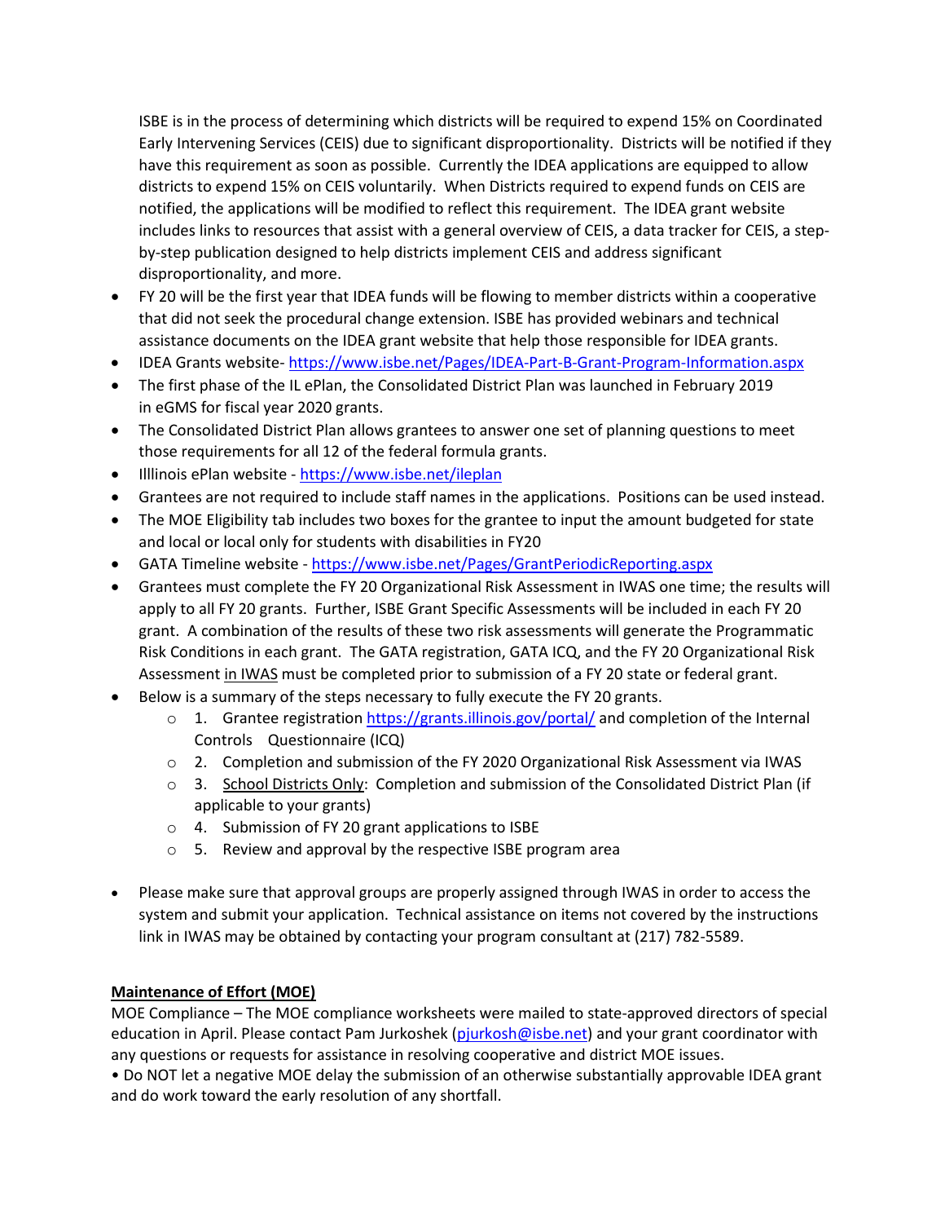ISBE is in the process of determining which districts will be required to expend 15% on Coordinated Early Intervening Services (CEIS) due to significant disproportionality. Districts will be notified if they have this requirement as soon as possible. Currently the IDEA applications are equipped to allow districts to expend 15% on CEIS voluntarily. When Districts required to expend funds on CEIS are notified, the applications will be modified to reflect this requirement. The IDEA grant website includes links to resources that assist with a general overview of CEIS, a data tracker for CEIS, a stepby-step publication designed to help districts implement CEIS and address significant disproportionality, and more.

- FY 20 will be the first year that IDEA funds will be flowing to member districts within a cooperative that did not seek the procedural change extension. ISBE has provided webinars and technical assistance documents on the IDEA grant website that help those responsible for IDEA grants.
- IDEA Grants website- <https://www.isbe.net/Pages/IDEA-Part-B-Grant-Program-Information.aspx>
- The first phase of the IL ePlan, the Consolidated District Plan was launched in February 2019 in eGMS for fiscal year 2020 grants.
- The Consolidated District Plan allows grantees to answer one set of planning questions to meet those requirements for all 12 of the federal formula grants.
- Illlinois ePlan website <https://www.isbe.net/ileplan>
- Grantees are not required to include staff names in the applications. Positions can be used instead.
- The MOE Eligibility tab includes two boxes for the grantee to input the amount budgeted for state and local or local only for students with disabilities in FY20
- GATA Timeline website <https://www.isbe.net/Pages/GrantPeriodicReporting.aspx>
- Grantees must complete the FY 20 Organizational Risk Assessment in IWAS one time; the results will apply to all FY 20 grants. Further, ISBE Grant Specific Assessments will be included in each FY 20 grant. A combination of the results of these two risk assessments will generate the Programmatic Risk Conditions in each grant. The GATA registration, GATA ICQ, and the FY 20 Organizational Risk Assessment in IWAS must be completed prior to submission of a FY 20 state or federal grant.
- Below is a summary of the steps necessary to fully execute the FY 20 grants.
	- $\circ$  1. Grantee registratio[n https://grants.illinois.gov/portal/](https://grants.illinois.gov/portal/) and completion of the Internal Controls Questionnaire (ICQ)
	- o 2. Completion and submission of the FY 2020 Organizational Risk Assessment via IWAS
	- o 3. School Districts Only: Completion and submission of the Consolidated District Plan (if applicable to your grants)
	- o 4. Submission of FY 20 grant applications to ISBE
	- o 5. Review and approval by the respective ISBE program area
- Please make sure that approval groups are properly assigned through IWAS in order to access the system and submit your application. Technical assistance on items not covered by the instructions link in IWAS may be obtained by contacting your program consultant at (217) 782-5589.

## **Maintenance of Effort (MOE)**

MOE Compliance – The MOE compliance worksheets were mailed to state-approved directors of special education in April. Please contact Pam Jurkoshek [\(pjurkosh@isbe.net\)](mailto:pjurkosh@isbe.net) and your grant coordinator with any questions or requests for assistance in resolving cooperative and district MOE issues.

• Do NOT let a negative MOE delay the submission of an otherwise substantially approvable IDEA grant and do work toward the early resolution of any shortfall.